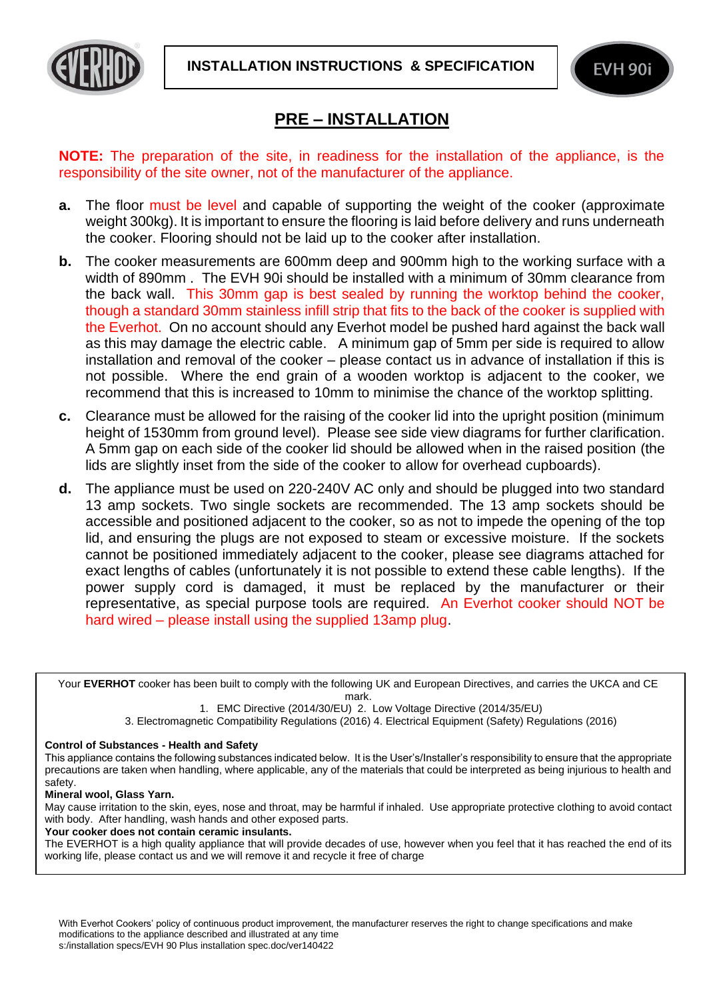



## **PRE – INSTALLATION**

**NOTE:** The preparation of the site, in readiness for the installation of the appliance, is the responsibility of the site owner, not of the manufacturer of the appliance.

- **a.** The floor must be level and capable of supporting the weight of the cooker (approximate weight 300kg). It is important to ensure the flooring is laid before delivery and runs underneath the cooker. Flooring should not be laid up to the cooker after installation.
- **b.** The cooker measurements are 600mm deep and 900mm high to the working surface with a width of 890mm . The EVH 90i should be installed with a minimum of 30mm clearance from the back wall. This 30mm gap is best sealed by running the worktop behind the cooker, though a standard 30mm stainless infill strip that fits to the back of the cooker is supplied with the Everhot. On no account should any Everhot model be pushed hard against the back wall as this may damage the electric cable. A minimum gap of 5mm per side is required to allow installation and removal of the cooker – please contact us in advance of installation if this is not possible. Where the end grain of a wooden worktop is adjacent to the cooker, we recommend that this is increased to 10mm to minimise the chance of the worktop splitting.
- **c.** Clearance must be allowed for the raising of the cooker lid into the upright position (minimum height of 1530mm from ground level). Please see side view diagrams for further clarification. A 5mm gap on each side of the cooker lid should be allowed when in the raised position (the lids are slightly inset from the side of the cooker to allow for overhead cupboards).
- **d.** The appliance must be used on 220-240V AC only and should be plugged into two standard 13 amp sockets. Two single sockets are recommended. The 13 amp sockets should be accessible and positioned adjacent to the cooker, so as not to impede the opening of the top lid, and ensuring the plugs are not exposed to steam or excessive moisture. If the sockets cannot be positioned immediately adjacent to the cooker, please see diagrams attached for exact lengths of cables (unfortunately it is not possible to extend these cable lengths). If the power supply cord is damaged, it must be replaced by the manufacturer or their representative, as special purpose tools are required. An Everhot cooker should NOT be hard wired – please install using the supplied 13amp plug.

Your **EVERHOT** cooker has been built to comply with the following UK and European Directives, and carries the UKCA and CE mark.

1. EMC Directive (2014/30/EU) 2. Low Voltage Directive (2014/35/EU)

3. Electromagnetic Compatibility Regulations (2016) 4. Electrical Equipment (Safety) Regulations (2016)

## **Control of Substances - Health and Safety**

This appliance contains the following substances indicated below. It is the User's/Installer's responsibility to ensure that the appropriate precautions are taken when handling, where applicable, any of the materials that could be interpreted as being injurious to health and safety.

**Mineral wool, Glass Yarn.**

May cause irritation to the skin, eyes, nose and throat, may be harmful if inhaled. Use appropriate protective clothing to avoid contact with body. After handling, wash hands and other exposed parts.

**Your cooker does not contain ceramic insulants.** 

The EVERHOT is a high quality appliance that will provide decades of use, however when you feel that it has reached the end of its working life, please contact us and we will remove it and recycle it free of charge